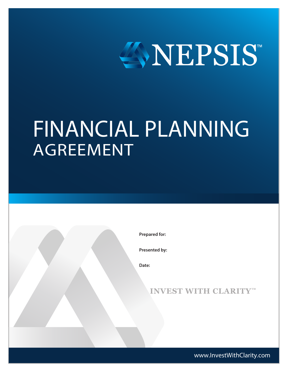

# FINANCIAL PLANNING AGREEMENT

**Prepared for:**

**Presented by:**

**Date:**

**INVEST WITH CLARITY™**

www.InvestWithClarity.com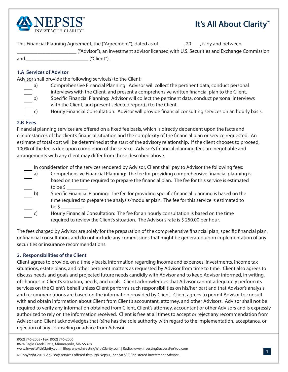

## **It's All About Clarity™**

This Financial Planning Agreement, the ("Agreement"), dated as of \_\_\_\_\_\_\_\_\_ , 20\_\_\_ , is by and between \_\_\_\_\_\_\_\_\_\_\_\_\_\_\_\_\_\_\_\_\_\_\_ ("Advisor"), an investment advisor licensed with U.S. Securities and Exchange Commission and \_\_\_\_\_\_\_\_\_\_\_\_\_\_\_\_\_\_\_\_\_\_\_\_ ("Client").

**1.A Services of Advisor**

Advisor shall provide the following service(s) to the Client:



a) Comprehensive Financial Planning: Advisor will collect the pertinent data, conduct personal interviews with the Client, and present a comprehensive written fnancial plan to the Client. b) Specifc Financial Planning: Advisor will collect the pertinent data, conduct personal interviews with the Client, and present selected report(s) to the Client.

c) Hourly Financial Consultation: Advisor will provide fnancial consulting services on an hourly basis.

#### **2.B Fees**

Financial planning services are ofered on a fxed fee basis, which is directly dependent upon the facts and circumstances of the client's fnancial situation and the complexity of the fnancial plan or service requested. An estimate of total cost will be determined at the start of the advisory relationship. If the client chooses to proceed, 100% of the fee is due upon completion of the service. Advisor's fnancial planning fees are negotiable and arrangements with any client may difer from those described above.

In consideration of the services rendered by Advisor, Client shall pay to Advisor the following fees:

a) Comprehensive Financial Planning: The fee for providing comprehensive fnancial planning is based on the time required to prepare the fnancial plan. The fee for this service is estimated to be  $\sim$  .

b) Specifc Financial Planning: The fee for providing specifc fnancial planning is based on the time required to prepare the analysis/modular plan. The fee for this service is estimated to  $be \, \zeta$ 

c) Hourly Financial Consultation: The fee for an hourly consultation is based on the time required to review the Client's situation. The Advisor's rate is \$ 250.00 per hour.

The fees charged by Advisor are solely for the preparation of the comprehensive fnancial plan, specifc fnancial plan, or fnancial consultation, and do not include any commissions that might be generated upon implementation of any securities or insurance recommendations.

#### **2. Responsibilities of the Client**

Client agrees to provide, on a timely basis, information regarding income and expenses, investments, income tax situations, estate plans, and other pertinent matters as requested by Advisor from time to time. Client also agrees to discuss needs and goals and projected future needs candidly with Advisor and to keep Advisor informed, in writing, of changes in Client's situation, needs, and goals. Client acknowledges that Advisor cannot adequately perform its services on the Client's behalf unless Client performs such responsibilities on his/her part and that Advisor's analysis and recommendations are based on the information provided by Client. Client agrees to permit Advisor to consult with and obtain information about Client from Client's accountant, attorney, and other Advisors. Advisor shall not be required to verify any information obtained from Client, Client's attorney, accountant or other Advisors and is expressly authorized to rely on the information received. Client is free at all times to accept or reject any recommendation from Advisor and Client acknowledges that (s)he has the sole authority with regard to the implementation, acceptance, or rejection of any counseling or advice from Advisor.

<sup>©</sup> Copyright 2018. Advisory services offered through Nepsis, Inc.: An SEC Registered Investment Advisor.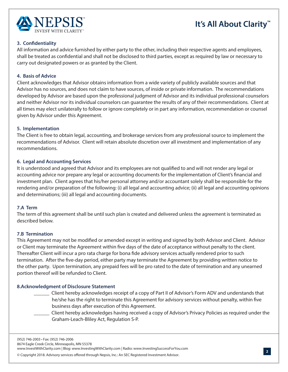

## **It's All About Clarity™**

#### **3. Confdentiality**

All information and advice furnished by either party to the other, including their respective agents and employees, shall be treated as confdential and shall not be disclosed to third parties, except as required by law or necessary to carry out designated powers or as granted by the Client.

#### **4. Basis of Advice**

Client acknowledges that Advisor obtains information from a wide variety of publicly available sources and that Advisor has no sources, and does not claim to have sources, of inside or private information. The recommendations developed by Advisor are based upon the professional judgment of Advisor and its individual professional counselors and neither Advisor nor its individual counselors can guarantee the results of any of their recommendations. Client at all times may elect unilaterally to follow or ignore completely or in part any information, recommendation or counsel given by Advisor under this Agreement.

#### **5. Implementation**

The Client is free to obtain legal, accounting, and brokerage services from any professional source to implement the recommendations of Advisor. Client will retain absolute discretion over all investment and implementation of any recommendations.

#### **6. Legal and Accounting Services**

It is understood and agreed that Advisor and its employees are not qualifed to and will not render any legal or accounting advice nor prepare any legal or accounting documents for the implementation of Client's fnancial and investment plan. Client agrees that his/her personal attorney and/or accountant solely shall be responsible for the rendering and/or preparation of the following: (i) all legal and accounting advice; (ii) all legal and accounting opinions and determinations; (iii) all legal and accounting documents.

#### **7.A Term**

The term of this agreement shall be until such plan is created and delivered unless the agreement is terminated as described below.

#### **7.B Termination**

This Agreement may not be modifed or amended except in writing and signed by both Advisor and Client. Advisor or Client may terminate the Agreement within fve days of the date of acceptance without penalty to the client. Thereafter Client will incur a pro rata charge for bona fde advisory services actually rendered prior to such termination. After the fve-day period, either party may terminate the Agreement by providing written notice to the other party. Upon termination, any prepaid fees will be pro rated to the date of termination and any unearned portion thereof will be refunded to Client.

#### **8.Acknowledgment of Disclosure Statement**

- \_\_\_\_\_\_ Client hereby acknowledges receipt of a copy of Part II of Advisor's Form ADV and understands that he/she has the right to terminate this Agreement for advisory services without penalty, within fve business days after execution of this Agreement.
- \_\_\_\_\_\_ Client hereby acknowledges having received a copy of Advisor's Privacy Policies as required under the Graham-Leach-Bliley Act, Regulation S-P.

(952) 746-2003 • Fax: (952) 746-2006 8674 Eagle Creek Circle, Minneapolis, MN 55378

www.InvestWithClarity.com | Blog: www.InvestingWithClarity.com | Radio: www.InvestingSuccessForYou.com

© Copyright 2018. Advisory services offered through Nepsis, Inc.: An SEC Registered Investment Advisor.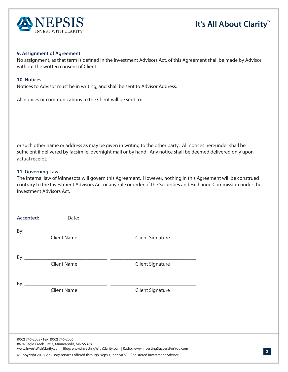

## **It's All About Clarity™**

**3**

#### **9. Assignment of Agreement**

No assignment, as that term is defned in the Investment Advisors Act, of this Agreement shall be made by Advisor without the written consent of Client.

#### **10. Notices**

Notices to Advisor must be in writing, and shall be sent to Advisor Address.

All notices or communications to the Client will be sent to:

or such other name or address as may be given in writing to the other party. All notices hereunder shall be sufficient if delivered by facsimile, overnight mail or by hand. Any notice shall be deemed delivered only upon actual receipt.

#### **11. Governing Law**

The internal law of Minnesota will govern this Agreement. However, nothing in this Agreement will be construed contrary to the Investment Advisors Act or any rule or order of the Securities and Exchange Commission under the Investment Advisors Act.

| Accepted:                                                                                                                                                                                        |                    |                         |  |
|--------------------------------------------------------------------------------------------------------------------------------------------------------------------------------------------------|--------------------|-------------------------|--|
|                                                                                                                                                                                                  |                    |                         |  |
|                                                                                                                                                                                                  | <b>Client Name</b> | <b>Client Signature</b> |  |
|                                                                                                                                                                                                  |                    |                         |  |
|                                                                                                                                                                                                  |                    |                         |  |
|                                                                                                                                                                                                  | <b>Client Name</b> | <b>Client Signature</b> |  |
|                                                                                                                                                                                                  |                    |                         |  |
|                                                                                                                                                                                                  |                    |                         |  |
|                                                                                                                                                                                                  | <b>Client Name</b> | <b>Client Signature</b> |  |
|                                                                                                                                                                                                  |                    |                         |  |
|                                                                                                                                                                                                  |                    |                         |  |
|                                                                                                                                                                                                  |                    |                         |  |
|                                                                                                                                                                                                  |                    |                         |  |
| (952) 746-2003 · Fax: (952) 746-2006<br>8674 Eagle Creek Circle, Minneapolis, MN 55378<br>www.lnvestWithClarity.com   Blog: www.lnvestingWithClarity.com   Radio: www.lnvestingSuccessForYou.com |                    |                         |  |
| © Copyright 2018. Advisory services offered through Nepsis, Inc.: An SEC Registered Investment Advisor.                                                                                          |                    |                         |  |